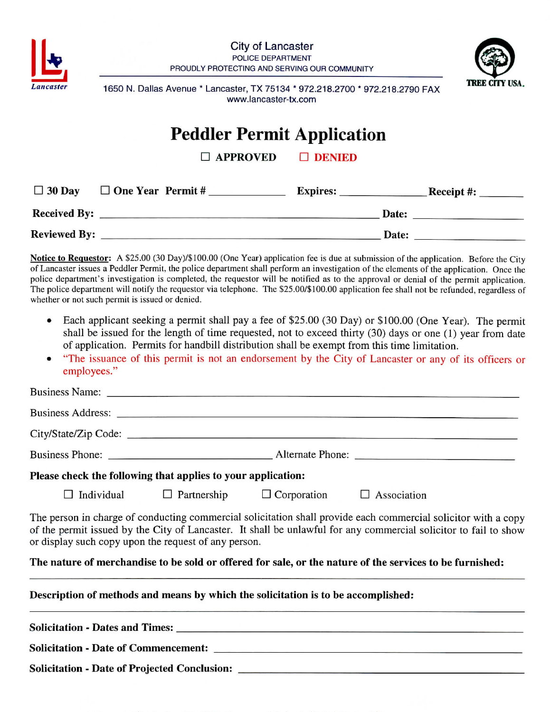





**Lancaster** 1650 N. Dallas Avenue \* Lancaster, TX 75134 \* 972.218.2700 \* 972.218.2790 FAX www.lancaster-tx.com

## **Peddler Permit Application**

□ APPROVED □ DENIED

| $\Box$ 30 Day       | $\Box$ One Year Permit # | <b>Expires:</b> | Receipt#: |
|---------------------|--------------------------|-----------------|-----------|
| <b>Received By:</b> |                          | Date:           |           |
| <b>Reviewed By:</b> |                          |                 | Date:     |

Notice to Requestor: A \$25.00 (30 Day)/\$100.00 (One Year) application fee is due at submission of the application. Before the City of Lancaster issues a Peddler Permit, the police department shall perform an investigation of the elements of the application. Once the police department's investigation is completed, the requestor will be notified as to the approval or denial of the permit application. The police department will notify the requestor via telephone. The \$25.00/\$100.00 application fee shall not be refunded, regardless of whether or not such permit is issued or denied.

- Each applicant seeking a permit shall pay a fee of \$25.00 (30 Day) or \$100.00 (One Year). The permit shall be issued for the length of time requested, not to exceed thirty (30) days or one (1) year from date of application. Permits for handbill distribution shall be exempt from this time limitation.
- "The issuance of this permit is not an endorsement by the City of Lancaster or any of its officers or employees."

|                                                                                   |                                                                            | Solicitation - Date of Projected Conclusion: ___________________________________                                                                                                                                                   |
|-----------------------------------------------------------------------------------|----------------------------------------------------------------------------|------------------------------------------------------------------------------------------------------------------------------------------------------------------------------------------------------------------------------------|
|                                                                                   |                                                                            |                                                                                                                                                                                                                                    |
| Description of methods and means by which the solicitation is to be accomplished: |                                                                            |                                                                                                                                                                                                                                    |
|                                                                                   |                                                                            | The nature of merchandise to be sold or offered for sale, or the nature of the services to be furnished:                                                                                                                           |
| or display such copy upon the request of any person.                              |                                                                            | The person in charge of conducting commercial solicitation shall provide each commercial solicitor with a copy<br>of the permit issued by the City of Lancaster. It shall be unlawful for any commercial solicitor to fail to show |
|                                                                                   | $\Box$ Individual $\Box$ Partnership $\Box$ Corporation $\Box$ Association |                                                                                                                                                                                                                                    |
| Please check the following that applies to your application:                      |                                                                            |                                                                                                                                                                                                                                    |
|                                                                                   |                                                                            |                                                                                                                                                                                                                                    |
|                                                                                   |                                                                            |                                                                                                                                                                                                                                    |
|                                                                                   |                                                                            |                                                                                                                                                                                                                                    |
|                                                                                   |                                                                            |                                                                                                                                                                                                                                    |